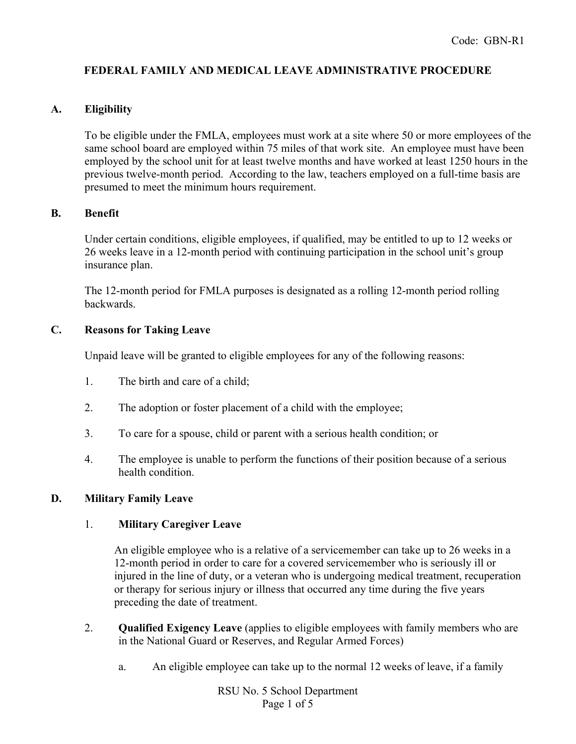# **FEDERAL FAMILY AND MEDICAL LEAVE ADMINISTRATIVE PROCEDURE**

## **A. Eligibility**

To be eligible under the FMLA, employees must work at a site where 50 or more employees of the same school board are employed within 75 miles of that work site. An employee must have been employed by the school unit for at least twelve months and have worked at least 1250 hours in the previous twelve-month period. According to the law, teachers employed on a full-time basis are presumed to meet the minimum hours requirement.

### **B. Benefit**

Under certain conditions, eligible employees, if qualified, may be entitled to up to 12 weeks or 26 weeks leave in a 12-month period with continuing participation in the school unit's group insurance plan.

The 12-month period for FMLA purposes is designated as a rolling 12-month period rolling backwards.

### **C. Reasons for Taking Leave**

Unpaid leave will be granted to eligible employees for any of the following reasons:

- 1. The birth and care of a child;
- 2. The adoption or foster placement of a child with the employee;
- 3. To care for a spouse, child or parent with a serious health condition; or
- 4. The employee is unable to perform the functions of their position because of a serious health condition.

### **D. Military Family Leave**

### 1. **Military Caregiver Leave**

An eligible employee who is a relative of a servicemember can take up to 26 weeks in a 12-month period in order to care for a covered servicemember who is seriously ill or injured in the line of duty, or a veteran who is undergoing medical treatment, recuperation or therapy for serious injury or illness that occurred any time during the five years preceding the date of treatment.

- 2. **Qualified Exigency Leave** (applies to eligible employees with family members who are in the National Guard or Reserves, and Regular Armed Forces)
	- a. An eligible employee can take up to the normal 12 weeks of leave, if a family

RSU No. 5 School Department Page 1 of 5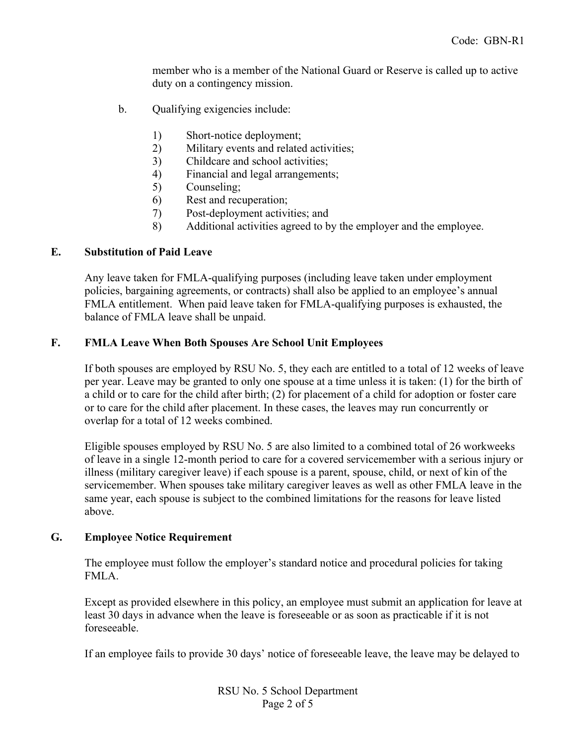member who is a member of the National Guard or Reserve is called up to active duty on a contingency mission.

- b. Qualifying exigencies include:
	- 1) Short-notice deployment;
	- 2) Military events and related activities;
	- 3) Childcare and school activities;
	- 4) Financial and legal arrangements;
	- 5) Counseling;
	- 6) Rest and recuperation;
	- 7) Post-deployment activities; and
	- 8) Additional activities agreed to by the employer and the employee.

### **E. Substitution of Paid Leave**

Any leave taken for FMLA-qualifying purposes (including leave taken under employment policies, bargaining agreements, or contracts) shall also be applied to an employee's annual FMLA entitlement. When paid leave taken for FMLA-qualifying purposes is exhausted, the balance of FMLA leave shall be unpaid.

### **F. FMLA Leave When Both Spouses Are School Unit Employees**

If both spouses are employed by RSU No. 5, they each are entitled to a total of 12 weeks of leave per year. Leave may be granted to only one spouse at a time unless it is taken: (1) for the birth of a child or to care for the child after birth; (2) for placement of a child for adoption or foster care or to care for the child after placement. In these cases, the leaves may run concurrently or overlap for a total of 12 weeks combined.

Eligible spouses employed by RSU No. 5 are also limited to a combined total of 26 workweeks of leave in a single 12-month period to care for a covered servicemember with a serious injury or illness (military caregiver leave) if each spouse is a parent, spouse, child, or next of kin of the servicemember. When spouses take military caregiver leaves as well as other FMLA leave in the same year, each spouse is subject to the combined limitations for the reasons for leave listed above.

### **G. Employee Notice Requirement**

The employee must follow the employer's standard notice and procedural policies for taking FMLA.

Except as provided elsewhere in this policy, an employee must submit an application for leave at least 30 days in advance when the leave is foreseeable or as soon as practicable if it is not foreseeable.

If an employee fails to provide 30 days' notice of foreseeable leave, the leave may be delayed to

RSU No. 5 School Department Page 2 of 5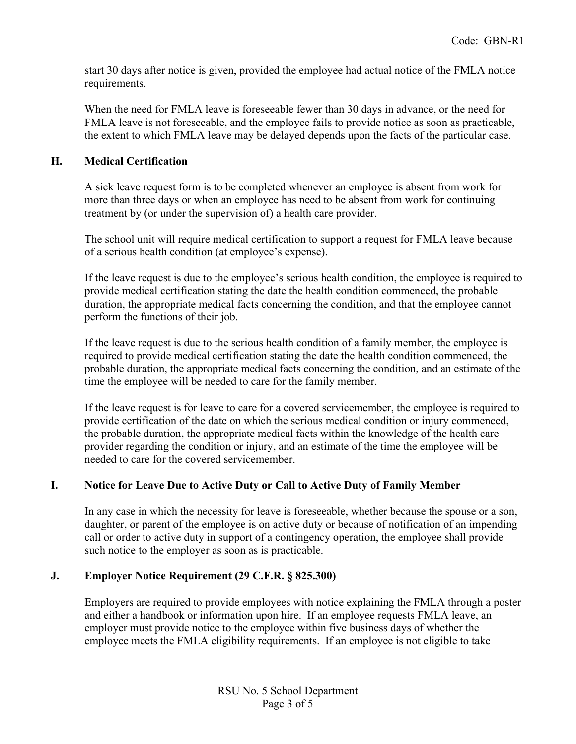start 30 days after notice is given, provided the employee had actual notice of the FMLA notice requirements.

When the need for FMLA leave is foreseeable fewer than 30 days in advance, or the need for FMLA leave is not foreseeable, and the employee fails to provide notice as soon as practicable, the extent to which FMLA leave may be delayed depends upon the facts of the particular case.

### **H. Medical Certification**

A sick leave request form is to be completed whenever an employee is absent from work for more than three days or when an employee has need to be absent from work for continuing treatment by (or under the supervision of) a health care provider.

The school unit will require medical certification to support a request for FMLA leave because of a serious health condition (at employee's expense).

If the leave request is due to the employee's serious health condition, the employee is required to provide medical certification stating the date the health condition commenced, the probable duration, the appropriate medical facts concerning the condition, and that the employee cannot perform the functions of their job.

If the leave request is due to the serious health condition of a family member, the employee is required to provide medical certification stating the date the health condition commenced, the probable duration, the appropriate medical facts concerning the condition, and an estimate of the time the employee will be needed to care for the family member.

If the leave request is for leave to care for a covered servicemember, the employee is required to provide certification of the date on which the serious medical condition or injury commenced, the probable duration, the appropriate medical facts within the knowledge of the health care provider regarding the condition or injury, and an estimate of the time the employee will be needed to care for the covered servicemember.

## **I. Notice for Leave Due to Active Duty or Call to Active Duty of Family Member**

In any case in which the necessity for leave is foreseeable, whether because the spouse or a son, daughter, or parent of the employee is on active duty or because of notification of an impending call or order to active duty in support of a contingency operation, the employee shall provide such notice to the employer as soon as is practicable.

## **J. Employer Notice Requirement (29 C.F.R. § 825.300)**

Employers are required to provide employees with notice explaining the FMLA through a poster and either a handbook or information upon hire. If an employee requests FMLA leave, an employer must provide notice to the employee within five business days of whether the employee meets the FMLA eligibility requirements. If an employee is not eligible to take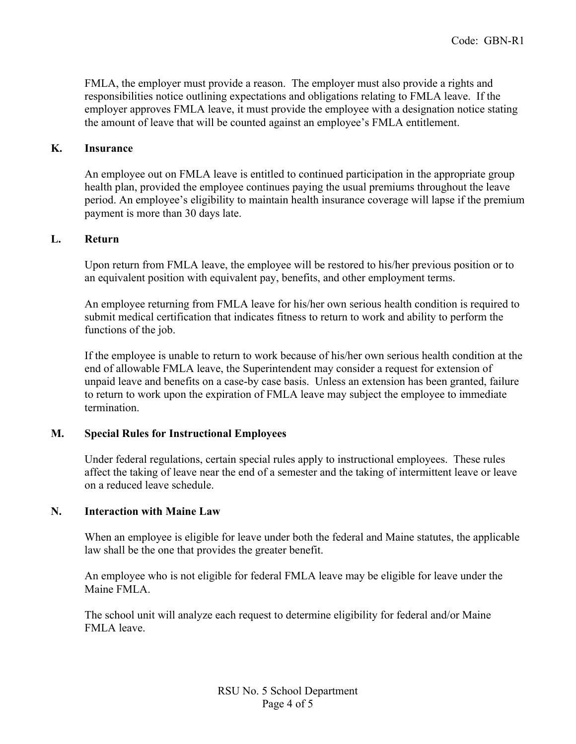FMLA, the employer must provide a reason. The employer must also provide a rights and responsibilities notice outlining expectations and obligations relating to FMLA leave. If the employer approves FMLA leave, it must provide the employee with a designation notice stating the amount of leave that will be counted against an employee's FMLA entitlement.

#### **K. Insurance**

An employee out on FMLA leave is entitled to continued participation in the appropriate group health plan, provided the employee continues paying the usual premiums throughout the leave period. An employee's eligibility to maintain health insurance coverage will lapse if the premium payment is more than 30 days late.

### **L. Return**

Upon return from FMLA leave, the employee will be restored to his/her previous position or to an equivalent position with equivalent pay, benefits, and other employment terms.

An employee returning from FMLA leave for his/her own serious health condition is required to submit medical certification that indicates fitness to return to work and ability to perform the functions of the job.

If the employee is unable to return to work because of his/her own serious health condition at the end of allowable FMLA leave, the Superintendent may consider a request for extension of unpaid leave and benefits on a case-by case basis. Unless an extension has been granted, failure to return to work upon the expiration of FMLA leave may subject the employee to immediate termination.

### **M. Special Rules for Instructional Employees**

Under federal regulations, certain special rules apply to instructional employees. These rules affect the taking of leave near the end of a semester and the taking of intermittent leave or leave on a reduced leave schedule.

#### **N. Interaction with Maine Law**

When an employee is eligible for leave under both the federal and Maine statutes, the applicable law shall be the one that provides the greater benefit.

An employee who is not eligible for federal FMLA leave may be eligible for leave under the Maine FMLA.

The school unit will analyze each request to determine eligibility for federal and/or Maine FMLA leave.